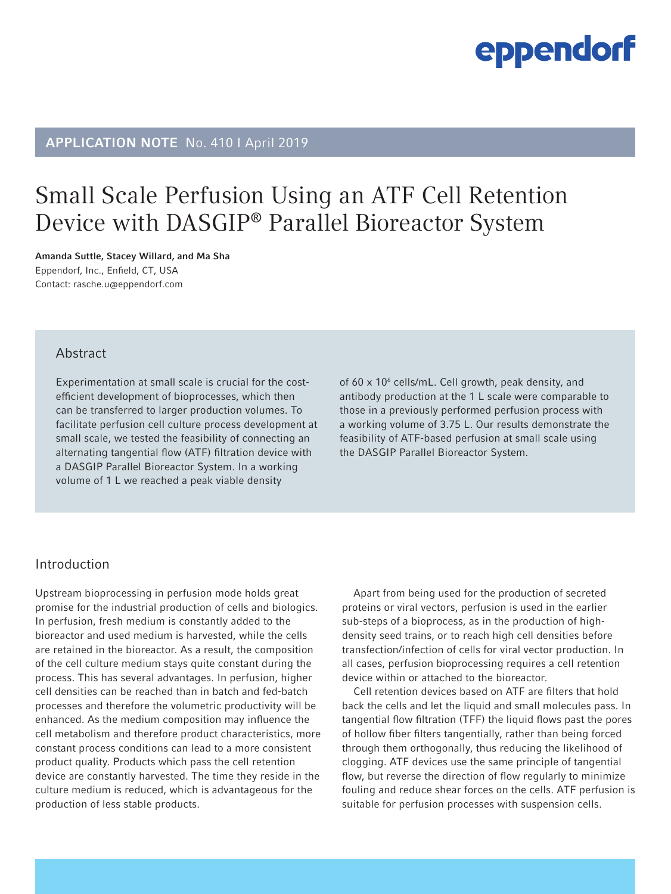# APPLICATION NOTE No. 410 I April 2019

# Small Scale Perfusion Using an ATF Cell Retention Device with DASGIP® Parallel Bioreactor System

Amanda Suttle, Stacey Willard, and Ma Sha Eppendorf, Inc., Enfield, CT, USA Contact: rasche.u@eppendorf.com

### Abstract

Experimentation at small scale is crucial for the costefficient development of bioprocesses, which then can be transferred to larger production volumes. To facilitate perfusion cell culture process development at small scale, we tested the feasibility of connecting an alternating tangential flow (ATF) filtration device with a DASGIP Parallel Bioreactor System. In a working volume of 1 L we reached a peak viable density

of 60 x 10<sup>6</sup> cells/mL. Cell growth, peak density, and antibody production at the 1 L scale were comparable to those in a previously performed perfusion process with a working volume of 3.75 L. Our results demonstrate the feasibility of ATF-based perfusion at small scale using the DASGIP Parallel Bioreactor System.

### Introduction

Upstream bioprocessing in perfusion mode holds great promise for the industrial production of cells and biologics. In perfusion, fresh medium is constantly added to the bioreactor and used medium is harvested, while the cells are retained in the bioreactor. As a result, the composition of the cell culture medium stays quite constant during the process. This has several advantages. In perfusion, higher cell densities can be reached than in batch and fed-batch processes and therefore the volumetric productivity will be enhanced. As the medium composition may influence the cell metabolism and therefore product characteristics, more constant process conditions can lead to a more consistent product quality. Products which pass the cell retention device are constantly harvested. The time they reside in the culture medium is reduced, which is advantageous for the production of less stable products.

Apart from being used for the production of secreted proteins or viral vectors, perfusion is used in the earlier sub-steps of a bioprocess, as in the production of highdensity seed trains, or to reach high cell densities before transfection/infection of cells for viral vector production. In all cases, perfusion bioprocessing requires a cell retention device within or attached to the bioreactor.

Cell retention devices based on ATF are filters that hold back the cells and let the liquid and small molecules pass. In tangential flow filtration (TFF) the liquid flows past the pores of hollow fiber filters tangentially, rather than being forced through them orthogonally, thus reducing the likelihood of clogging. ATF devices use the same principle of tangential flow, but reverse the direction of flow regularly to minimize fouling and reduce shear forces on the cells. ATF perfusion is suitable for perfusion processes with suspension cells.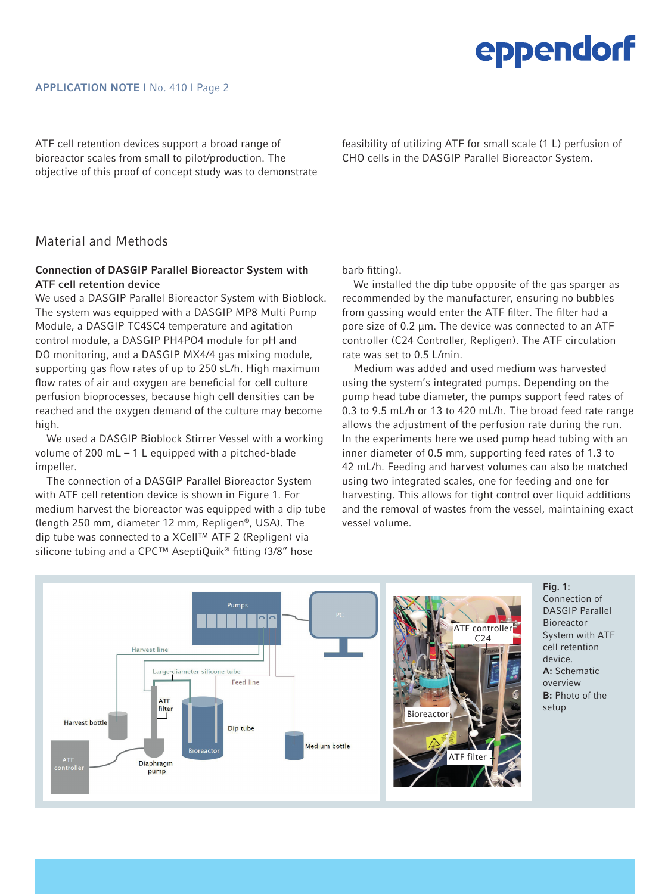ATF cell retention devices support a broad range of bioreactor scales from small to pilot/production. The objective of this proof of concept study was to demonstrate feasibility of utilizing ATF for small scale (1 L) perfusion of CHO cells in the DASGIP Parallel Bioreactor System.

## Material and Methods

### Connection of DASGIP Parallel Bioreactor System with ATF cell retention device

We used a DASGIP Parallel Bioreactor System with Bioblock. The system was equipped with a DASGIP MP8 Multi Pump Module, a DASGIP TC4SC4 temperature and agitation control module, a DASGIP PH4PO4 module for pH and DO monitoring, and a DASGIP MX4/4 gas mixing module, supporting gas flow rates of up to 250 sL/h. High maximum flow rates of air and oxygen are beneficial for cell culture perfusion bioprocesses, because high cell densities can be reached and the oxygen demand of the culture may become high.

We used a DASGIP Bioblock Stirrer Vessel with a working volume of 200 mL – 1 L equipped with a pitched-blade impeller.

The connection of a DASGIP Parallel Bioreactor System with ATF cell retention device is shown in Figure 1. For medium harvest the bioreactor was equipped with a dip tube (length 250 mm, diameter 12 mm, Repligen®, USA). The dip tube was connected to a XCell™ ATF 2 (Repligen) via silicone tubing and a CPC™ AseptiQuik® fitting (3/8" hose

barb fitting).

We installed the dip tube opposite of the gas sparger as recommended by the manufacturer, ensuring no bubbles from gassing would enter the ATF filter. The filter had a pore size of 0.2 µm. The device was connected to an ATF controller (C24 Controller, Repligen). The ATF circulation rate was set to 0.5 L/min.

Medium was added and used medium was harvested using the system's integrated pumps. Depending on the pump head tube diameter, the pumps support feed rates of 0.3 to 9.5 mL/h or 13 to 420 mL/h. The broad feed rate range allows the adjustment of the perfusion rate during the run. In the experiments here we used pump head tubing with an inner diameter of 0.5 mm, supporting feed rates of 1.3 to 42 mL/h. Feeding and harvest volumes can also be matched using two integrated scales, one for feeding and one for harvesting. This allows for tight control over liquid additions and the removal of wastes from the vessel, maintaining exact vessel volume.



Fig. 1: Connection of DASGIP Parallel Bioreactor System with ATF cell retention device. A: Schematic overview B: Photo of the setup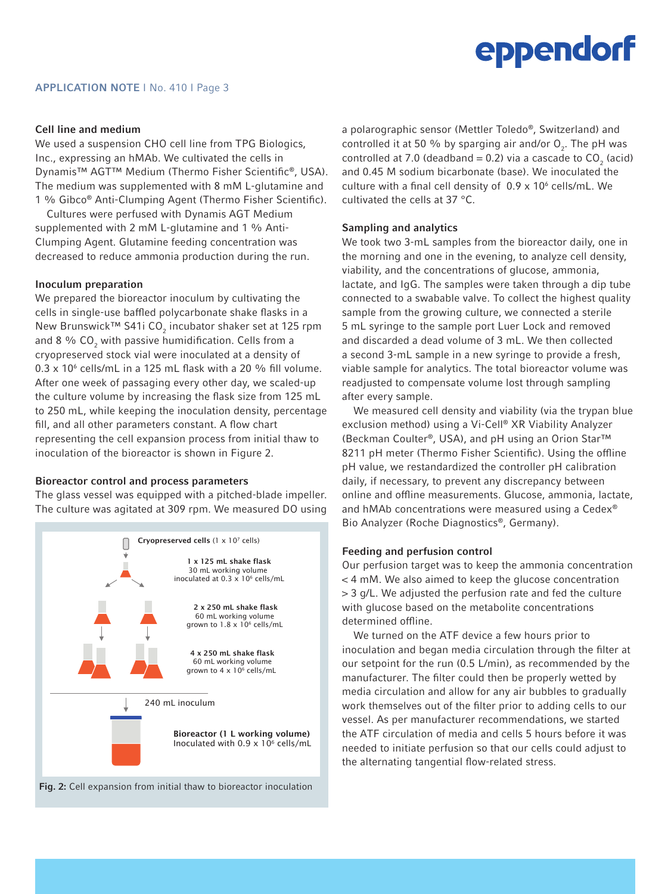#### Cell line and medium

We used a suspension CHO cell line from TPG Biologics, Inc., expressing an hMAb. We cultivated the cells in Dynamis™ AGT™ Medium (Thermo Fisher Scientific®, USA). The medium was supplemented with 8 mM L-glutamine and 1 % Gibco® Anti-Clumping Agent (Thermo Fisher Scientific).

Cultures were perfused with Dynamis AGT Medium supplemented with 2 mM L-glutamine and 1 % Anti-Clumping Agent. Glutamine feeding concentration was decreased to reduce ammonia production during the run.

#### Inoculum preparation

We prepared the bioreactor inoculum by cultivating the cells in single-use baffled polycarbonate shake flasks in a New Brunswick™ S41i CO $_2$  incubator shaker set at 125 rpm and 8  $\%$  CO $_2$  with passive humidification. Cells from a cryopreserved stock vial were inoculated at a density of  $0.3 \times 10^6$  cells/mL in a 125 mL flask with a 20 % fill volume. After one week of passaging every other day, we scaled-up the culture volume by increasing the flask size from 125 mL to 250 mL, while keeping the inoculation density, percentage fill, and all other parameters constant. A flow chart representing the cell expansion process from initial thaw to inoculation of the bioreactor is shown in Figure 2.

#### Bioreactor control and process parameters

The glass vessel was equipped with a pitched-blade impeller. The culture was agitated at 309 rpm. We measured DO using



Fig. 2: Cell expansion from initial thaw to bioreactor inoculation

a polarographic sensor (Mettler Toledo®, Switzerland) and controlled it at 50 % by sparging air and/or  $\mathsf{O}_2$ . The pH was controlled at 7.0 (deadband = 0.2) via a cascade to  $CO_2$  (acid) and 0.45 M sodium bicarbonate (base). We inoculated the culture with a final cell density of  $0.9 \times 10^6$  cells/mL. We cultivated the cells at 37 °C.

#### Sampling and analytics

We took two 3-mL samples from the bioreactor daily, one in the morning and one in the evening, to analyze cell density, viability, and the concentrations of glucose, ammonia, lactate, and IgG. The samples were taken through a dip tube connected to a swabable valve. To collect the highest quality sample from the growing culture, we connected a sterile 5 mL syringe to the sample port Luer Lock and removed and discarded a dead volume of 3 mL. We then collected a second 3-mL sample in a new syringe to provide a fresh, viable sample for analytics. The total bioreactor volume was readjusted to compensate volume lost through sampling after every sample.

We measured cell density and viability (via the trypan blue exclusion method) using a Vi-Cell® XR Viability Analyzer (Beckman Coulter®, USA), and pH using an Orion Star™ 8211 pH meter (Thermo Fisher Scientific). Using the offline pH value, we restandardized the controller pH calibration daily, if necessary, to prevent any discrepancy between online and offline measurements. Glucose, ammonia, lactate, and hMAb concentrations were measured using a Cedex® Bio Analyzer (Roche Diagnostics®, Germany).

#### Feeding and perfusion control

Our perfusion target was to keep the ammonia concentration < 4 mM. We also aimed to keep the glucose concentration > 3 g/L. We adjusted the perfusion rate and fed the culture with glucose based on the metabolite concentrations determined offline.

We turned on the ATF device a few hours prior to inoculation and began media circulation through the filter at our setpoint for the run (0.5 L/min), as recommended by the manufacturer. The filter could then be properly wetted by media circulation and allow for any air bubbles to gradually work themselves out of the filter prior to adding cells to our vessel. As per manufacturer recommendations, we started the ATF circulation of media and cells 5 hours before it was needed to initiate perfusion so that our cells could adjust to the alternating tangential flow-related stress.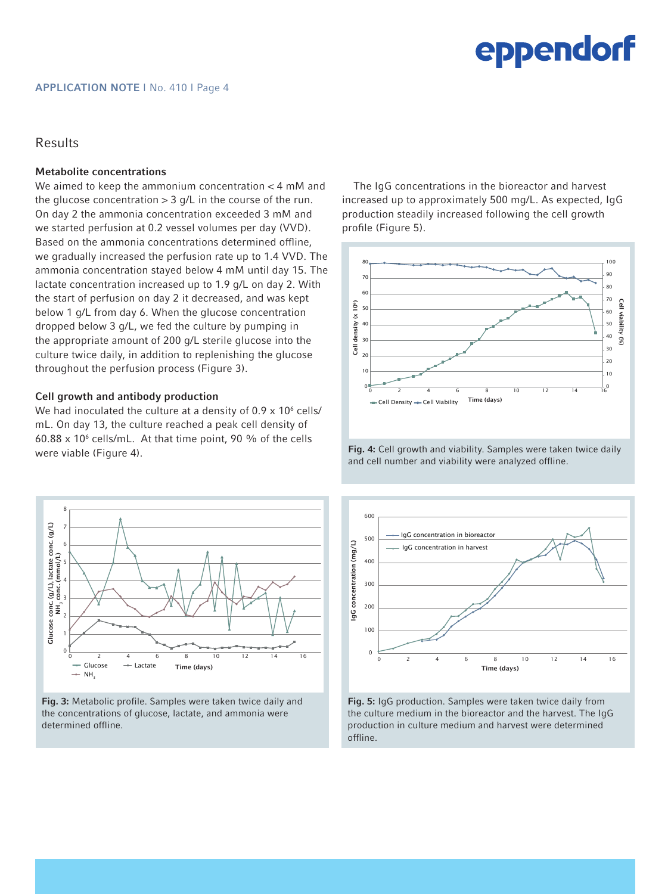### Results

#### Metabolite concentrations

We aimed to keep the ammonium concentration < 4 mM and the glucose concentration  $> 3$  g/L in the course of the run. On day 2 the ammonia concentration exceeded 3 mM and we started perfusion at 0.2 vessel volumes per day (VVD). Based on the ammonia concentrations determined offline, we gradually increased the perfusion rate up to 1.4 VVD. The ammonia concentration stayed below 4 mM until day 15. The lactate concentration increased up to 1.9 g/L on day 2. With the start of perfusion on day 2 it decreased, and was kept below 1 g/L from day 6. When the glucose concentration dropped below 3 g/L, we fed the culture by pumping in the appropriate amount of 200 g/L sterile glucose into the culture twice daily, in addition to replenishing the glucose throughout the perfusion process (Figure 3).

#### Cell growth and antibody production

We had inoculated the culture at a density of 0.9 x 10 $^{\rm 6}$  cells/ mL. On day 13, the culture reached a peak cell density of  $60.88 \times 10^6$  cells/mL. At that time point, 90 % of the cells were viable (Figure 4).



Fig. 3: Metabolic profile. Samples were taken twice daily and the concentrations of glucose, lactate, and ammonia were determined offline.

The IgG concentrations in the bioreactor and harvest increased up to approximately 500 mg/L. As expected, IgG production steadily increased following the cell growth profile (Figure 5).



Fig. 4: Cell growth and viability. Samples were taken twice daily and cell number and viability were analyzed offline.



Fig. 5: IgG production. Samples were taken twice daily from the culture medium in the bioreactor and the harvest. The IgG production in culture medium and harvest were determined offline.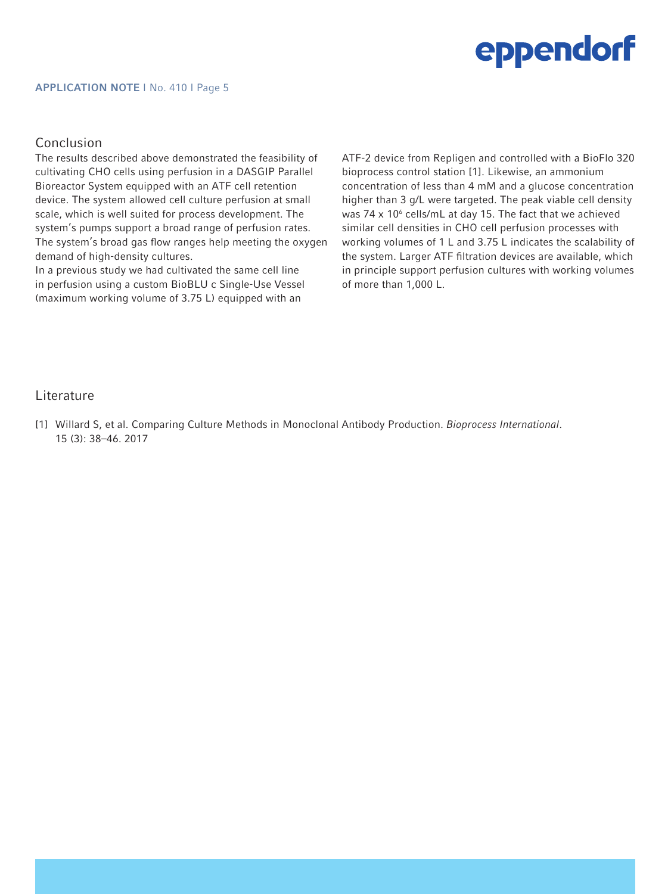#### APPLICATION NOTE I No. 410 I Page 5

### Conclusion

The results described above demonstrated the feasibility of cultivating CHO cells using perfusion in a DASGIP Parallel Bioreactor System equipped with an ATF cell retention device. The system allowed cell culture perfusion at small scale, which is well suited for process development. The system's pumps support a broad range of perfusion rates. The system's broad gas flow ranges help meeting the oxygen demand of high-density cultures.

In a previous study we had cultivated the same cell line in perfusion using a custom BioBLU c Single-Use Vessel (maximum working volume of 3.75 L) equipped with an

ATF-2 device from Repligen and controlled with a BioFlo 320 bioprocess control station [1]. Likewise, an ammonium concentration of less than 4 mM and a glucose concentration higher than 3 g/L were targeted. The peak viable cell density was 74  $\times$  10 $^{\circ}$  cells/mL at day 15. The fact that we achieved similar cell densities in CHO cell perfusion processes with working volumes of 1 L and 3.75 L indicates the scalability of the system. Larger ATF filtration devices are available, which in principle support perfusion cultures with working volumes of more than 1,000 L.

### Literature

[1] Willard S, et al. Comparing Culture Methods in Monoclonal Antibody Production. *Bioprocess International*. 15 (3): 38–46. 2017